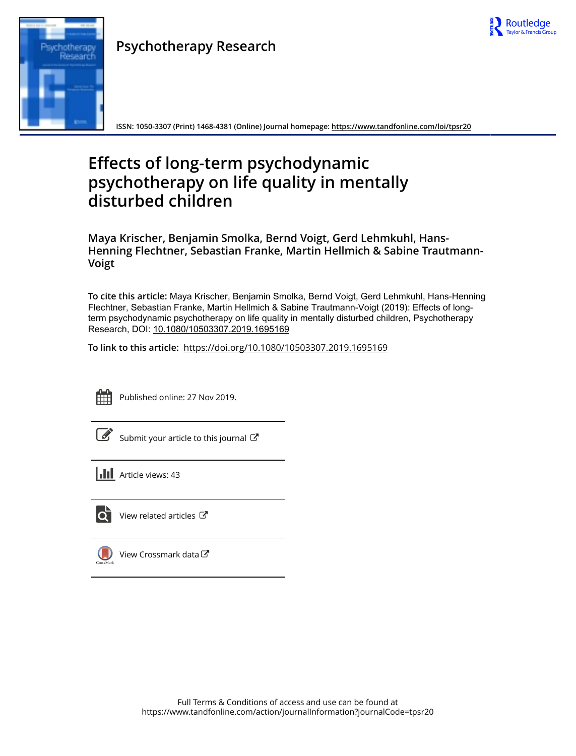

# Research

**Psychotherapy Research**

**ISSN: 1050-3307 (Print) 1468-4381 (Online) Journal homepage:<https://www.tandfonline.com/loi/tpsr20>**

# **Effects of long-term psychodynamic psychotherapy on life quality in mentally disturbed children**

**Maya Krischer, Benjamin Smolka, Bernd Voigt, Gerd Lehmkuhl, Hans-Henning Flechtner, Sebastian Franke, Martin Hellmich & Sabine Trautmann-Voigt**

**To cite this article:** Maya Krischer, Benjamin Smolka, Bernd Voigt, Gerd Lehmkuhl, Hans-Henning Flechtner, Sebastian Franke, Martin Hellmich & Sabine Trautmann-Voigt (2019): Effects of longterm psychodynamic psychotherapy on life quality in mentally disturbed children, Psychotherapy Research, DOI: [10.1080/10503307.2019.1695169](https://www.tandfonline.com/action/showCitFormats?doi=10.1080/10503307.2019.1695169)

**To link to this article:** <https://doi.org/10.1080/10503307.2019.1695169>



Published online: 27 Nov 2019.

| I<br>I<br>×<br>۰. | I |  |
|-------------------|---|--|
|                   |   |  |

[Submit your article to this journal](https://www.tandfonline.com/action/authorSubmission?journalCode=tpsr20&show=instructions)  $\mathbb{Z}$ 

**III** Article views: 43



 $\overline{\mathbf{C}}$  [View related articles](https://www.tandfonline.com/doi/mlt/10.1080/10503307.2019.1695169)  $\mathbf{C}$ 



[View Crossmark data](http://crossmark.crossref.org/dialog/?doi=10.1080/10503307.2019.1695169&domain=pdf&date_stamp=2019-11-27) $G$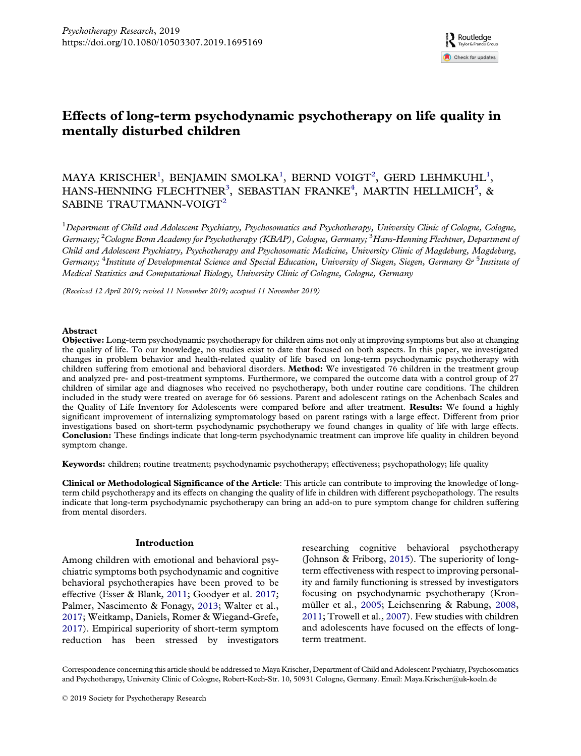

# <span id="page-1-0"></span>Effects of long-term psychodynamic psychotherapy on life quality in mentally disturbed children

## MAYA KRISCHER<sup>1</sup>, BENJAMIN SMOLKA<sup>1</sup>, BERND VOIGT<sup>2</sup>, GERD LEHMKUHL<sup>1</sup>, HANS-HENNING FLECHTNER<sup>3</sup>, SEBASTIAN FRANKE<sup>4</sup>, MARTIN HELLMICH<sup>5</sup>, & SABINE TRAUTMANN-VOIGT<sup>2</sup>

 $^1$ Department of Child and Adolescent Psychiatry, Psychosomatics and Psychotherapy, University Clinic of Cologne, Cologne, Germany; <sup>2</sup>Cologne Bonn Academy for Psychotherapy (KBAP), Cologne, Germany; <sup>3</sup>Hans-Henning Flechtner, Department of Child and Adolescent Psychiatry, Psychotherapy and Psychosomatic Medicine, University Clinic of Magdeburg, Magdeburg, Germany; <sup>4</sup>Institute of Developmental Science and Special Education, University of Siegen, Siegen, Germany & <sup>5</sup>Institute of Medical Statistics and Computational Biology, University Clinic of Cologne, Cologne, Germany

(Received 12 April 2019; revised 11 November 2019; accepted 11 November 2019)

### Abstract

Objective: Long-term psychodynamic psychotherapy for children aims not only at improving symptoms but also at changing the quality of life. To our knowledge, no studies exist to date that focused on both aspects. In this paper, we investigated changes in problem behavior and health-related quality of life based on long-term psychodynamic psychotherapy with children suffering from emotional and behavioral disorders. Method: We investigated 76 children in the treatment group and analyzed pre- and post-treatment symptoms. Furthermore, we compared the outcome data with a control group of 27 children of similar age and diagnoses who received no psychotherapy, both under routine care conditions. The children included in the study were treated on average for 66 sessions. Parent and adolescent ratings on the Achenbach Scales and the Quality of Life Inventory for Adolescents were compared before and after treatment. **Results:** We found a highly significant improvement of internalizing symptomatology based on parent ratings with a large effect. Different from prior investigations based on short-term psychodynamic psychotherapy we found changes in quality of life with large effects. Conclusion: These findings indicate that long-term psychodynamic treatment can improve life quality in children beyond symptom change.

Keywords: children; routine treatment; psychodynamic psychotherapy; effectiveness; psychopathology; life quality

Clinical or Methodological Significance of the Article: This article can contribute to improving the knowledge of longterm child psychotherapy and its effects on changing the quality of life in children with different psychopathology. The results indicate that long-term psychodynamic psychotherapy can bring an add-on to pure symptom change for children suffering from mental disorders.

### Introduction

Among children with emotional and behavioral psychiatric symptoms both psychodynamic and cognitive behavioral psychotherapies have been proved to be effective (Esser & Blank, [2011;](#page-8-0) Goodyer et al. [2017;](#page-9-0) Palmer, Nascimento & Fonagy, [2013](#page-9-0); Walter et al., [2017;](#page-9-0) Weitkamp, Daniels, Romer & Wiegand-Grefe, [2017\)](#page-9-0). Empirical superiority of short-term symptom reduction has been stressed by investigators researching cognitive behavioral psychotherapy (Johnson & Friborg, [2015](#page-9-0)). The superiority of longterm effectiveness with respect to improving personality and family functioning is stressed by investigators focusing on psychodynamic psychotherapy (Kronmüller et al., [2005](#page-9-0); Leichsenring & Rabung, [2008](#page-9-0), [2011;](#page-9-0) Trowell et al., [2007\)](#page-9-0). Few studies with children and adolescents have focused on the effects of longterm treatment.

Correspondence concerning this article should be addressed to Maya Krischer, Department of Child and Adolescent Psychiatry, Psychosomatics and Psychotherapy, University Clinic of Cologne, Robert-Koch-Str. 10, 50931 Cologne, Germany. Email: [Maya.Krischer@uk-koeln.de](mailto:Maya.Krischer@uk-koeln.de)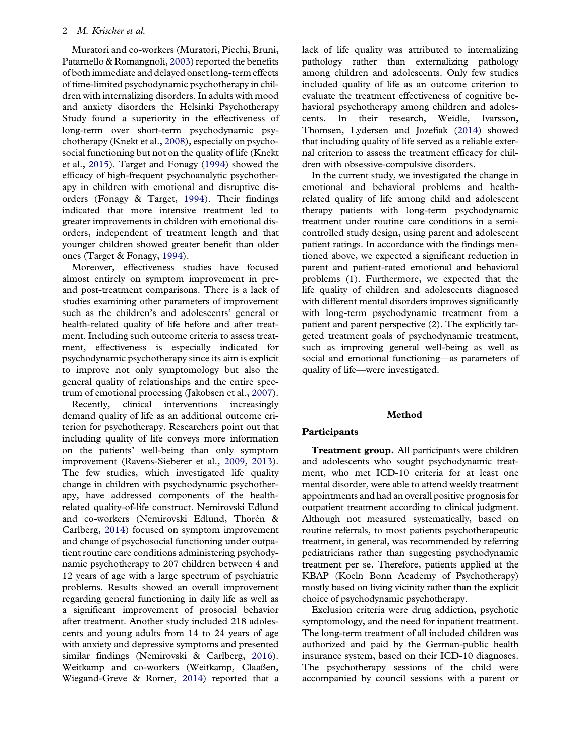### <span id="page-2-0"></span>2 M. Krischer et al.

Muratori and co-workers (Muratori, Picchi, Bruni, Patarnello & Romangnoli, [2003\)](#page-9-0) reported the benefits of both immediate and delayed onset long-term effects of time-limited psychodynamic psychotherapy in children with internalizing disorders. In adults with mood and anxiety disorders the Helsinki Psychotherapy Study found a superiority in the effectiveness of long-term over short-term psychodynamic psychotherapy (Knekt et al., [2008](#page-9-0)), especially on psychosocial functioning but not on the quality of life (Knekt et al., [2015](#page-9-0)). Target and Fonagy ([1994](#page-9-0)) showed the efficacy of high-frequent psychoanalytic psychotherapy in children with emotional and disruptive disorders (Fonagy & Target, [1994](#page-9-0)). Their findings indicated that more intensive treatment led to greater improvements in children with emotional disorders, independent of treatment length and that younger children showed greater benefit than older ones (Target & Fonagy, [1994\)](#page-9-0).

Moreover, effectiveness studies have focused almost entirely on symptom improvement in preand post-treatment comparisons. There is a lack of studies examining other parameters of improvement such as the children's and adolescents' general or health-related quality of life before and after treatment. Including such outcome criteria to assess treatment, effectiveness is especially indicated for psychodynamic psychotherapy since its aim is explicit to improve not only symptomology but also the general quality of relationships and the entire spectrum of emotional processing (Jakobsen et al., [2007\)](#page-9-0).

Recently, clinical interventions increasingly demand quality of life as an additional outcome criterion for psychotherapy. Researchers point out that including quality of life conveys more information on the patients' well-being than only symptom improvement (Ravens-Sieberer et al., [2009,](#page-9-0) [2013\)](#page-9-0). The few studies, which investigated life quality change in children with psychodynamic psychotherapy, have addressed components of the healthrelated quality-of-life construct. Nemirovski Edlund and co-workers (Nemirovski Edlund, Thorén & Carlberg, [2014](#page-9-0)) focused on symptom improvement and change of psychosocial functioning under outpatient routine care conditions administering psychodynamic psychotherapy to 207 children between 4 and 12 years of age with a large spectrum of psychiatric problems. Results showed an overall improvement regarding general functioning in daily life as well as a significant improvement of prosocial behavior after treatment. Another study included 218 adolescents and young adults from 14 to 24 years of age with anxiety and depressive symptoms and presented similar findings (Nemirovski & Carlberg, [2016\)](#page-9-0). Weitkamp and co-workers (Weitkamp, Claaßen, Wiegand-Greve & Romer, [2014\)](#page-9-0) reported that a

lack of life quality was attributed to internalizing pathology rather than externalizing pathology among children and adolescents. Only few studies included quality of life as an outcome criterion to evaluate the treatment effectiveness of cognitive behavioral psychotherapy among children and adolescents. In their research, Weidle, Ivarsson, Thomsen, Lydersen and Jozefiak ([2014\)](#page-9-0) showed that including quality of life served as a reliable external criterion to assess the treatment efficacy for children with obsessive-compulsive disorders.

In the current study, we investigated the change in emotional and behavioral problems and healthrelated quality of life among child and adolescent therapy patients with long-term psychodynamic treatment under routine care conditions in a semicontrolled study design, using parent and adolescent patient ratings. In accordance with the findings mentioned above, we expected a significant reduction in parent and patient-rated emotional and behavioral problems (1). Furthermore, we expected that the life quality of children and adolescents diagnosed with different mental disorders improves significantly with long-term psychodynamic treatment from a patient and parent perspective (2). The explicitly targeted treatment goals of psychodynamic treatment, such as improving general well-being as well as social and emotional functioning—as parameters of quality of life—were investigated.

### Method

### Participants

Treatment group. All participants were children and adolescents who sought psychodynamic treatment, who met ICD-10 criteria for at least one mental disorder, were able to attend weekly treatment appointments and had an overall positive prognosis for outpatient treatment according to clinical judgment. Although not measured systematically, based on routine referrals, to most patients psychotherapeutic treatment, in general, was recommended by referring pediatricians rather than suggesting psychodynamic treatment per se. Therefore, patients applied at the KBAP (Koeln Bonn Academy of Psychotherapy) mostly based on living vicinity rather than the explicit choice of psychodynamic psychotherapy.

Exclusion criteria were drug addiction, psychotic symptomology, and the need for inpatient treatment. The long-term treatment of all included children was authorized and paid by the German-public health insurance system, based on their ICD-10 diagnoses. The psychotherapy sessions of the child were accompanied by council sessions with a parent or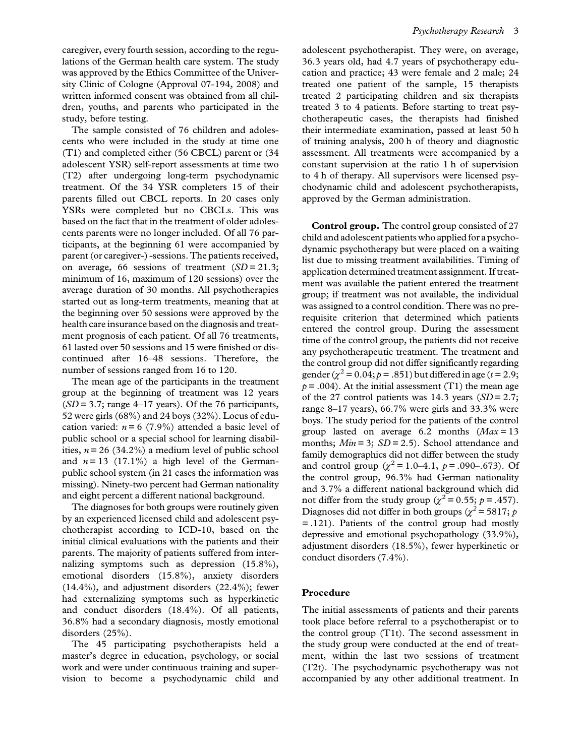caregiver, every fourth session, according to the regulations of the German health care system. The study was approved by the Ethics Committee of the University Clinic of Cologne (Approval 07-194, 2008) and written informed consent was obtained from all children, youths, and parents who participated in the study, before testing.

The sample consisted of 76 children and adolescents who were included in the study at time one (T1) and completed either (56 CBCL) parent or (34 adolescent YSR) self-report assessments at time two (T2) after undergoing long-term psychodynamic treatment. Of the 34 YSR completers 15 of their parents filled out CBCL reports. In 20 cases only YSRs were completed but no CBCLs. This was based on the fact that in the treatment of older adolescents parents were no longer included. Of all 76 participants, at the beginning 61 were accompanied by parent (or caregiver-) -sessions. The patients received, on average, 66 sessions of treatment  $(SD = 21.3;$ minimum of 16, maximum of 120 sessions) over the average duration of 30 months. All psychotherapies started out as long-term treatments, meaning that at the beginning over 50 sessions were approved by the health care insurance based on the diagnosis and treatment prognosis of each patient. Of all 76 treatments, 61 lasted over 50 sessions and 15 were finished or discontinued after 16–48 sessions. Therefore, the number of sessions ranged from 16 to 120.

The mean age of the participants in the treatment group at the beginning of treatment was 12 years  $(SD = 3.7;$  range 4–17 years). Of the 76 participants, 52 were girls (68%) and 24 boys (32%). Locus of education varied:  $n = 6$  (7.9%) attended a basic level of public school or a special school for learning disabilities,  $n = 26$  (34.2%) a medium level of public school and  $n = 13$  (17.1%) a high level of the Germanpublic school system (in 21 cases the information was missing). Ninety-two percent had German nationality and eight percent a different national background.

The diagnoses for both groups were routinely given by an experienced licensed child and adolescent psychotherapist according to ICD-10, based on the initial clinical evaluations with the patients and their parents. The majority of patients suffered from internalizing symptoms such as depression (15.8%), emotional disorders (15.8%), anxiety disorders (14.4%), and adjustment disorders (22.4%); fewer had externalizing symptoms such as hyperkinetic and conduct disorders (18.4%). Of all patients, 36.8% had a secondary diagnosis, mostly emotional disorders (25%).

The 45 participating psychotherapists held a master's degree in education, psychology, or social work and were under continuous training and supervision to become a psychodynamic child and adolescent psychotherapist. They were, on average, 36.3 years old, had 4.7 years of psychotherapy education and practice; 43 were female and 2 male; 24 treated one patient of the sample, 15 therapists treated 2 participating children and six therapists treated 3 to 4 patients. Before starting to treat psychotherapeutic cases, the therapists had finished their intermediate examination, passed at least 50 h of training analysis, 200 h of theory and diagnostic assessment. All treatments were accompanied by a constant supervision at the ratio 1 h of supervision to 4 h of therapy. All supervisors were licensed psychodynamic child and adolescent psychotherapists, approved by the German administration.

Control group. The control group consisted of 27 child and adolescent patients who applied for a psychodynamic psychotherapy but were placed on a waiting list due to missing treatment availabilities. Timing of application determined treatment assignment. If treatment was available the patient entered the treatment group; if treatment was not available, the individual was assigned to a control condition. There was no prerequisite criterion that determined which patients entered the control group. During the assessment time of the control group, the patients did not receive any psychotherapeutic treatment. The treatment and the control group did not differ significantly regarding gender ( $\chi^2$  = 0.04;  $p$  = .851) but differed in age ( $t$  = 2.9;  $p = .004$ ). At the initial assessment (T1) the mean age of the 27 control patients was 14.3 years  $(SD = 2.7;$ range 8–17 years), 66.7% were girls and 33.3% were boys. The study period for the patients of the control group lasted on average 6.2 months  $(Max = 13)$ months;  $Min = 3$ ;  $SD = 2.5$ ). School attendance and family demographics did not differ between the study and control group ( $\chi^2$  = 1.0–4.1,  $p$  = .090–.673). Of the control group, 96.3% had German nationality and 3.7% a different national background which did not differ from the study group ( $\chi^2 = 0.55$ ;  $p = .457$ ). Diagnoses did not differ in both groups ( $\chi^2$  = 5817; p = .121). Patients of the control group had mostly depressive and emotional psychopathology (33.9%), adjustment disorders (18.5%), fewer hyperkinetic or conduct disorders (7.4%).

### Procedure

The initial assessments of patients and their parents took place before referral to a psychotherapist or to the control group (T1t). The second assessment in the study group were conducted at the end of treatment, within the last two sessions of treatment (T2t). The psychodynamic psychotherapy was not accompanied by any other additional treatment. In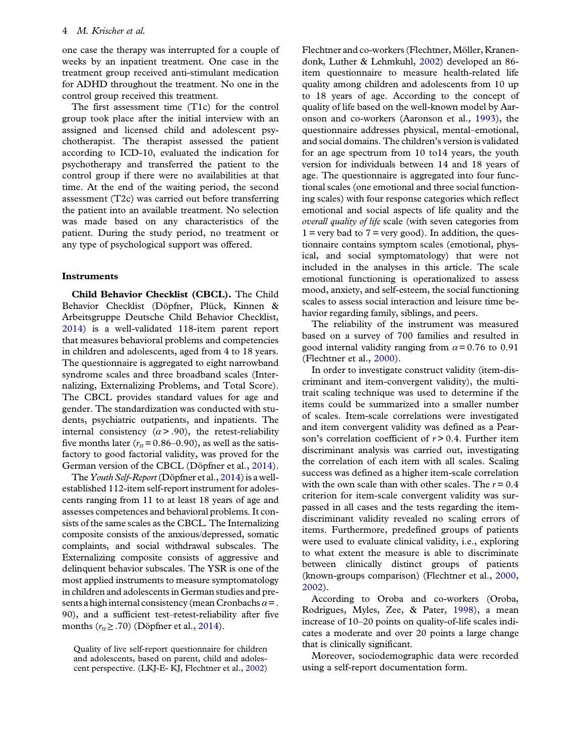<span id="page-4-0"></span>one case the therapy was interrupted for a couple of weeks by an inpatient treatment. One case in the treatment group received anti-stimulant medication for ADHD throughout the treatment. No one in the control group received this treatment.

The first assessment time (T1c) for the control group took place after the initial interview with an assigned and licensed child and adolescent psychotherapist. The therapist assessed the patient according to ICD-10, evaluated the indication for psychotherapy and transferred the patient to the control group if there were no availabilities at that time. At the end of the waiting period, the second assessment (T2c) was carried out before transferring the patient into an available treatment. No selection was made based on any characteristics of the patient. During the study period, no treatment or any type of psychological support was offered.

### **Instruments**

Child Behavior Checklist (CBCL). The Child Behavior Checklist (Döpfner, Plück, Kinnen & Arbeitsgruppe Deutsche Child Behavior Checklist, [2014\)](#page-8-0) is a well-validated 118-item parent report that measures behavioral problems and competencies in children and adolescents, aged from 4 to 18 years. The questionnaire is aggregated to eight narrowband syndrome scales and three broadband scales (Internalizing, Externalizing Problems, and Total Score). The CBCL provides standard values for age and gender. The standardization was conducted with students, psychiatric outpatients, and inpatients. The internal consistency  $(\alpha > .90)$ , the retest-reliability five months later ( $r<sub>tt</sub>$ = 0.86–0.90), as well as the satisfactory to good factorial validity, was proved for the German version of the CBCL (Döpfner et al., [2014\)](#page-8-0).

The Youth Self-Report (Döpfner et al., [2014](#page-8-0)) is a wellestablished 112-item self-report instrument for adolescents ranging from 11 to at least 18 years of age and assesses competences and behavioral problems. It consists of the same scales as the CBCL. The Internalizing composite consists of the anxious/depressed, somatic complaints, and social withdrawal subscales. The Externalizing composite consists of aggressive and delinquent behavior subscales. The YSR is one of the most applied instruments to measure symptomatology in children and adolescents in German studies and presents a high internal consistency (mean Cronbachs  $\alpha =$ . 90), and a sufficient test–retest-reliability after five months ( $r_{tt} \geq .70$ ) (Döpfner et al., [2014](#page-8-0)).

Quality of live self-report questionnaire for children and adolescents, based on parent, child and adolescent perspective. (LKJ-E- KJ, Flechtner et al., [2002](#page-8-0)) Flechtner and co-workers (Flechtner,Möller, Kranendonk, Luther & Lehmkuhl, [2002](#page-8-0)) developed an 86 item questionnaire to measure health-related life quality among children and adolescents from 10 up to 18 years of age. According to the concept of quality of life based on the well-known model by Aaronson and co-workers (Aaronson et al., [1993\)](#page-8-0), the questionnaire addresses physical, mental–emotional, and social domains. The children's version is validated for an age spectrum from 10 to14 years, the youth version for individuals between 14 and 18 years of age. The questionnaire is aggregated into four functional scales (one emotional and three social functioning scales) with four response categories which reflect emotional and social aspects of life quality and the overall quality of life scale (with seven categories from  $1 = \text{very bad to } 7 = \text{very good}$ . In addition, the questionnaire contains symptom scales (emotional, physical, and social symptomatology) that were not included in the analyses in this article. The scale emotional functioning is operationalized to assess mood, anxiety, and self-esteem, the social functioning scales to assess social interaction and leisure time behavior regarding family, siblings, and peers.

The reliability of the instrument was measured based on a survey of 700 families and resulted in good internal validity ranging from  $\alpha = 0.76$  to 0.91 (Flechtner et al., [2000](#page-8-0)).

In order to investigate construct validity (item-discriminant and item-convergent validity), the multitrait scaling technique was used to determine if the items could be summarized into a smaller number of scales. Item-scale correlations were investigated and item convergent validity was defined as a Pearson's correlation coefficient of  $r > 0.4$ . Further item discriminant analysis was carried out, investigating the correlation of each item with all scales. Scaling success was defined as a higher item-scale correlation with the own scale than with other scales. The  $r = 0.4$ criterion for item-scale convergent validity was surpassed in all cases and the tests regarding the itemdiscriminant validity revealed no scaling errors of items. Furthermore, predefined groups of patients were used to evaluate clinical validity, i.e., exploring to what extent the measure is able to discriminate between clinically distinct groups of patients (known-groups comparison) (Flechtner et al., [2000](#page-8-0), [2002\)](#page-8-0).

According to Oroba and co-workers (Oroba, Rodrigues, Myles, Zee, & Pater, [1998\)](#page-9-0), a mean increase of 10–20 points on quality-of-life scales indicates a moderate and over 20 points a large change that is clinically significant.

Moreover, sociodemographic data were recorded using a self-report documentation form.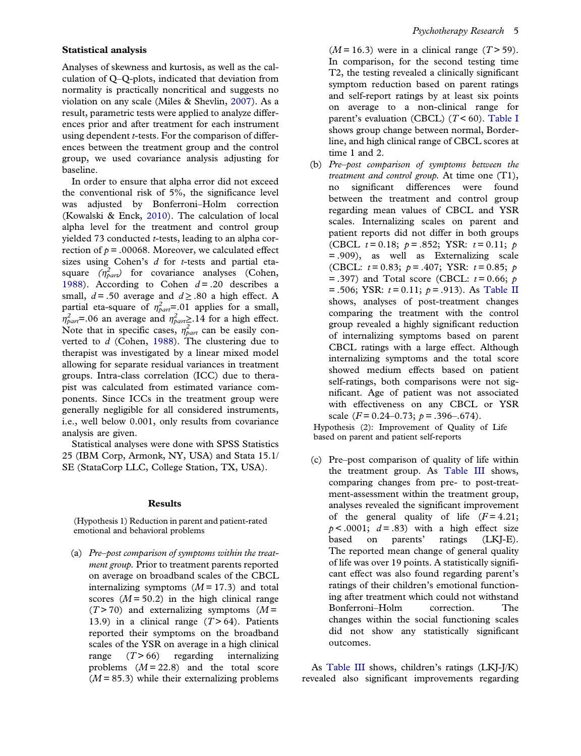### <span id="page-5-0"></span>Statistical analysis

Analyses of skewness and kurtosis, as well as the calculation of Q–Q-plots, indicated that deviation from normality is practically noncritical and suggests no violation on any scale (Miles & Shevlin, [2007\)](#page-9-0). As a result, parametric tests were applied to analyze differences prior and after treatment for each instrument using dependent *t*-tests. For the comparison of differences between the treatment group and the control group, we used covariance analysis adjusting for baseline.

In order to ensure that alpha error did not exceed the conventional risk of 5%, the significance level was adjusted by Bonferroni–Holm correction (Kowalski & Enck, [2010\)](#page-9-0). The calculation of local alpha level for the treatment and control group yielded 73 conducted t-tests, leading to an alpha correction of  $p = .00068$ . Moreover, we calculated effect sizes using Cohen's  $d$  for  $t$ -tests and partial etasquare  $(\eta_{part}^2)$  for covariance analyses (Cohen, [1988\)](#page-8-0). According to Cohen  $d = .20$  describes a small,  $d = .50$  average and  $d \ge .80$  a high effect. A partial eta-square of  $\eta_{part}^2 = 01$  applies for a small,  $\eta_{part}^2$ =.06 an average and  $\eta_{part}^2$ .14 for a high effect. Note that in specific cases,  $\eta_{part}^2$  can be easily converted to  $d$  (Cohen, [1988](#page-8-0)). The clustering due to therapist was investigated by a linear mixed model allowing for separate residual variances in treatment groups. Intra-class correlation (ICC) due to therapist was calculated from estimated variance components. Since ICCs in the treatment group were generally negligible for all considered instruments, i.e., well below 0.001, only results from covariance analysis are given.

Statistical analyses were done with SPSS Statistics 25 (IBM Corp, Armonk, NY, USA) and Stata 15.1/ SE (StataCorp LLC, College Station, TX, USA).

### Results

(Hypothesis 1) Reduction in parent and patient-rated emotional and behavioral problems

(a) Pre–post comparison of symptoms within the treatment group. Prior to treatment parents reported on average on broadband scales of the CBCL internalizing symptoms  $(M = 17.3)$  and total scores  $(M = 50.2)$  in the high clinical range  $(T > 70)$  and externalizing symptoms  $(M =$ 13.9) in a clinical range  $(T > 64)$ . Patients reported their symptoms on the broadband scales of the YSR on average in a high clinical range  $(T > 66)$  regarding internalizing problems  $(M = 22.8)$  and the total score  $(M = 85.3)$  while their externalizing problems

 $(M = 16.3)$  were in a clinical range  $(T > 59)$ . In comparison, for the second testing time T2, the testing revealed a clinically significant symptom reduction based on parent ratings and self-report ratings by at least six points on average to a non-clinical range for parent's evaluation (CBCL)  $(T < 60)$ . [Table I](#page-6-0) shows group change between normal, Borderline, and high clinical range of CBCL scores at time 1 and 2.

(b) Pre–post comparison of symptoms between the treatment and control group. At time one  $(T1)$ , no significant differences were found between the treatment and control group regarding mean values of CBCL and YSR scales. Internalizing scales on parent and patient reports did not differ in both groups (CBCL  $t = 0.18$ ;  $p = .852$ ; YSR:  $t = 0.11$ ;  $p = 0.11$ = .909), as well as Externalizing scale (CBCL:  $t = 0.83$ ;  $p = .407$ ; YSR:  $t = 0.85$ ;  $p = 0.85$  $=$  .397) and Total score (CBCL:  $t = 0.66$ ;  $p = 0.64$  $= .506$ ; YSR:  $t = 0.11$ ;  $p = .913$ ). As [Table II](#page-6-0) shows, analyses of post-treatment changes comparing the treatment with the control group revealed a highly significant reduction of internalizing symptoms based on parent CBCL ratings with a large effect. Although internalizing symptoms and the total score showed medium effects based on patient self-ratings, both comparisons were not significant. Age of patient was not associated with effectiveness on any CBCL or YSR scale  $(F = 0.24 - 0.73; p = .396 - .674)$ .

Hypothesis (2): Improvement of Quality of Life based on parent and patient self-reports

(c) Pre–post comparison of quality of life within the treatment group. As [Table III](#page-7-0) shows, comparing changes from pre- to post-treatment-assessment within the treatment group, analyses revealed the significant improvement of the general quality of life  $(F=4.21)$ ;  $p < .0001$ ;  $d = .83$ ) with a high effect size based on parents' ratings (LKJ-E). The reported mean change of general quality of life was over 19 points. A statistically significant effect was also found regarding parent's ratings of their children's emotional functioning after treatment which could not withstand Bonferroni–Holm correction. The changes within the social functioning scales did not show any statistically significant outcomes.

As [Table III](#page-7-0) shows, children's ratings (LKJ-J/K) revealed also significant improvements regarding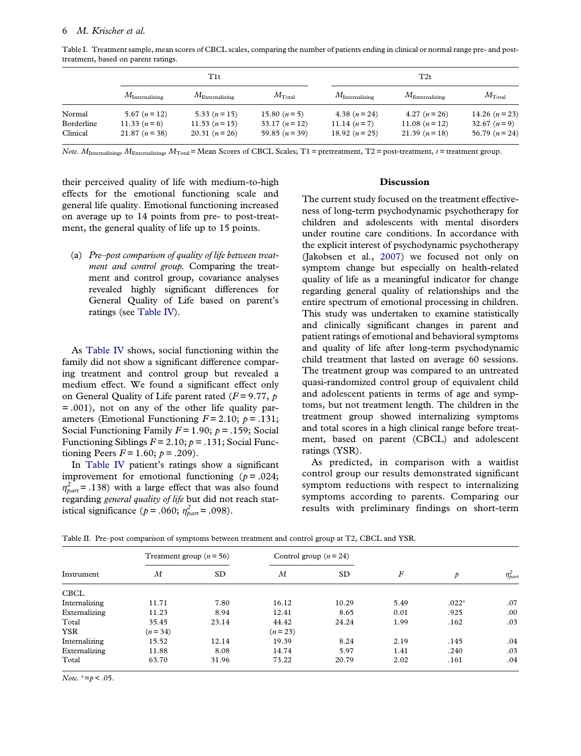<span id="page-6-0"></span>Table I. Treatment sample, mean scores of CBCL scales, comparing the number of patients ending in clinical or normal range pre- and posttreatment, based on parent ratings.

|            |                         | T1t                     |                 | T2t                     |                         |                 |  |
|------------|-------------------------|-------------------------|-----------------|-------------------------|-------------------------|-----------------|--|
|            | $M_{\rm Internalizing}$ | $M_{\rm Externalizing}$ | $M_{\rm Total}$ | $M_{\rm Internalizing}$ | $M_{\rm Externalizing}$ | $M_{\rm Total}$ |  |
| Normal     | 5.67 $(n=12)$           | 5.33 $(n=15)$           | 15.80 $(n=5)$   | 4.38 $(n=24)$           | 4.27 $(n=26)$           | 14.26 $(n=23)$  |  |
| Borderline | 11.33 $(n=6)$           | $11.53 (n=15)$          | $33.17(n=12)$   | 11.14 $(n=7)$           | 11.08 $(n=12)$          | 32.67 $(n=9)$   |  |
| Clinical   | $21.87 (n=38)$          | 20.31 $(n=26)$          | 59.85 $(n=39)$  | 18.92 $(n=25)$          | 21.39 $(n=18)$          | 56.79 $(n=24)$  |  |

Note.  $M_{\text{Internationalizing}}$ ,  $M_{\text{Externalizing}}$ ,  $M_{\text{Total}}$  = Mean Scores of CBCL Scales; T1 = pretreatment, T2 = post-treatment, t = treatment group.

their perceived quality of life with medium-to-high effects for the emotional functioning scale and general life quality. Emotional functioning increased on average up to 14 points from pre- to post-treatment, the general quality of life up to 15 points.

(a) Pre–post comparison of quality of life between treatment and control group. Comparing the treatment and control group, covariance analyses revealed highly significant differences for General Quality of Life based on parent's ratings (see [Table IV](#page-8-0)).

As [Table IV](#page-8-0) shows, social functioning within the family did not show a significant difference comparing treatment and control group but revealed a medium effect. We found a significant effect only on General Quality of Life parent rated ( $F = 9.77$ ,  $p$ = .001), not on any of the other life quality parameters (Emotional Functioning  $F = 2.10$ ;  $p = .131$ ; Social Functioning Family  $F = 1.90$ ;  $p = .159$ ; Social Functioning Siblings  $F = 2.10$ ;  $p = .131$ ; Social Functioning Peers  $F = 1.60$ ;  $p = .209$ ).

In [Table IV](#page-8-0) patient's ratings show a significant improvement for emotional functioning ( $p = .024$ ;  $\eta_{part}^2$  = .138) with a large effect that was also found regarding general quality of life but did not reach statistical significance ( $p = .060$ ;  $\eta_{part}^2 = .098$ ).

### Discussion

The current study focused on the treatment effectiveness of long-term psychodynamic psychotherapy for children and adolescents with mental disorders under routine care conditions. In accordance with the explicit interest of psychodynamic psychotherapy (Jakobsen et al., [2007](#page-9-0)) we focused not only on symptom change but especially on health-related quality of life as a meaningful indicator for change regarding general quality of relationships and the entire spectrum of emotional processing in children. This study was undertaken to examine statistically and clinically significant changes in parent and patient ratings of emotional and behavioral symptoms and quality of life after long-term psychodynamic child treatment that lasted on average 60 sessions. The treatment group was compared to an untreated quasi-randomized control group of equivalent child and adolescent patients in terms of age and symptoms, but not treatment length. The children in the treatment group showed internalizing symptoms and total scores in a high clinical range before treatment, based on parent (CBCL) and adolescent ratings (YSR).

As predicted, in comparison with a waitlist control group our results demonstrated significant symptom reductions with respect to internalizing symptoms according to parents. Comparing our results with preliminary findings on short-term

Table II. Pre–post comparison of symptoms between treatment and control group at T2, CBCL and YSR.

| Instrument    | Treatment group $(n = 56)$ |       | Control group $(n=24)$ |           |                  |         |                |
|---------------|----------------------------|-------|------------------------|-----------|------------------|---------|----------------|
|               | М                          | SD.   | $\boldsymbol{M}$       | <b>SD</b> | $\boldsymbol{F}$ | p       | $\eta_{par}^2$ |
| <b>CBCL</b>   |                            |       |                        |           |                  |         |                |
| Internalizing | 11.71                      | 7.80  | 16.12                  | 10.29     | 5.49             | $.022*$ | .07            |
| Externalizing | 11.23                      | 8.94  | 12.41                  | 8.65      | 0.01             | .925    | .00            |
| Total         | 35.45                      | 23.14 | 44.42                  | 24.24     | 1.99             | .162    | .03            |
| <b>YSR</b>    | $(n = 34)$                 |       | $(n=23)$               |           |                  |         |                |
| Internalizing | 15.52                      | 12.14 | 19.39                  | 8.24      | 2.19             | .145    | .04            |
| Externalizing | 11.88                      | 8.08  | 14.74                  | 5.97      | 1.41             | .240    | .03            |
| Total         | 63.70                      | 31.96 | 73.22                  | 20.79     | 2.02             | .161    | .04            |

Note.  $*=p$  < .05.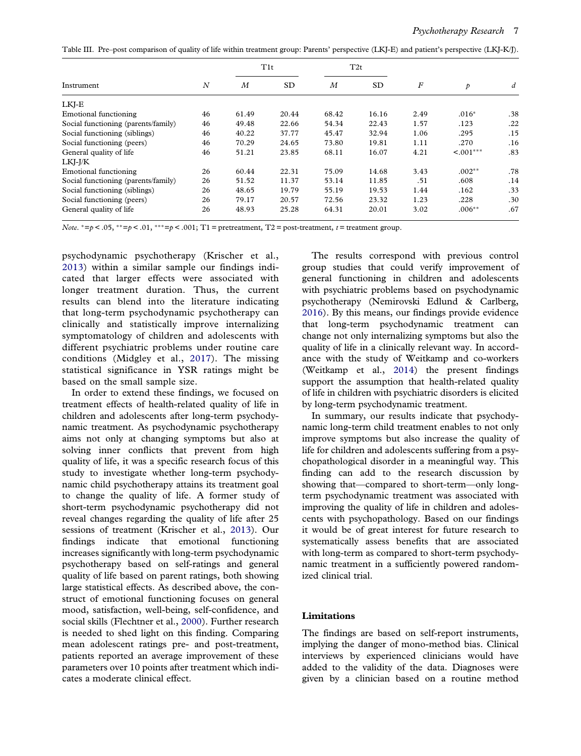<span id="page-7-0"></span>Table III. Pre–post comparison of quality of life within treatment group: Parents' perspective (LKJ-E) and patient's perspective (LKJ-K/J).

|                                     |                  | T1t              |           | T2t              |           |                  |                |     |
|-------------------------------------|------------------|------------------|-----------|------------------|-----------|------------------|----------------|-----|
| Instrument                          | $\boldsymbol{N}$ | $\boldsymbol{M}$ | <b>SD</b> | $\boldsymbol{M}$ | <b>SD</b> | $\boldsymbol{F}$ | $\mathcal{P}$  | d   |
| LKJ-E                               |                  |                  |           |                  |           |                  |                |     |
| Emotional functioning               | 46               | 61.49            | 20.44     | 68.42            | 16.16     | 2.49             | $.016*$        | .38 |
| Social functioning (parents/family) | 46               | 49.48            | 22.66     | 54.34            | 22.43     | 1.57             | .123           | .22 |
| Social functioning (siblings)       | 46               | 40.22            | 37.77     | 45.47            | 32.94     | 1.06             | .295           | .15 |
| Social functioning (peers)          | 46               | 70.29            | 24.65     | 73.80            | 19.81     | 1.11             | .270           | .16 |
| General quality of life             | 46               | 51.21            | 23.85     | 68.11            | 16.07     | 4.21             | $\leq 0.01***$ | .83 |
| LKI-J/K                             |                  |                  |           |                  |           |                  |                |     |
| Emotional functioning               | 26               | 60.44            | 22.31     | 75.09            | 14.68     | 3.43             | $.002**$       | .78 |
| Social functioning (parents/family) | 26               | 51.52            | 11.37     | 53.14            | 11.85     | .51              | .608           | .14 |
| Social functioning (siblings)       | 26               | 48.65            | 19.79     | 55.19            | 19.53     | 1.44             | .162           | .33 |
| Social functioning (peers)          | 26               | 79.17            | 20.57     | 72.56            | 23.32     | 1.23             | .228           | .30 |
| General quality of life             | 26               | 48.93            | 25.28     | 64.31            | 20.01     | 3.02             | $.006**$       | .67 |

Note.  $* = p < .05$ ,  $* = p < .01$ ,  $* * = p < .001$ ; T1 = pretreatment, T2 = post-treatment, t = treatment group.

psychodynamic psychotherapy (Krischer et al., [2013](#page-9-0)) within a similar sample our findings indicated that larger effects were associated with longer treatment duration. Thus, the current results can blend into the literature indicating that long-term psychodynamic psychotherapy can clinically and statistically improve internalizing symptomatology of children and adolescents with different psychiatric problems under routine care conditions (Midgley et al., [2017](#page-9-0)). The missing statistical significance in YSR ratings might be based on the small sample size.

In order to extend these findings, we focused on treatment effects of health-related quality of life in children and adolescents after long-term psychodynamic treatment. As psychodynamic psychotherapy aims not only at changing symptoms but also at solving inner conflicts that prevent from high quality of life, it was a specific research focus of this study to investigate whether long-term psychodynamic child psychotherapy attains its treatment goal to change the quality of life. A former study of short-term psychodynamic psychotherapy did not reveal changes regarding the quality of life after 25 sessions of treatment (Krischer et al., [2013](#page-9-0)). Our findings indicate that emotional functioning increases significantly with long-term psychodynamic psychotherapy based on self-ratings and general quality of life based on parent ratings, both showing large statistical effects. As described above, the construct of emotional functioning focuses on general mood, satisfaction, well-being, self-confidence, and social skills (Flechtner et al., [2000\)](#page-8-0). Further research is needed to shed light on this finding. Comparing mean adolescent ratings pre- and post-treatment, patients reported an average improvement of these parameters over 10 points after treatment which indicates a moderate clinical effect.

The results correspond with previous control group studies that could verify improvement of general functioning in children and adolescents with psychiatric problems based on psychodynamic psychotherapy (Nemirovski Edlund & Carlberg, [2016\)](#page-9-0). By this means, our findings provide evidence that long-term psychodynamic treatment can change not only internalizing symptoms but also the quality of life in a clinically relevant way. In accordance with the study of Weitkamp and co-workers (Weitkamp et al., [2014](#page-9-0)) the present findings support the assumption that health-related quality of life in children with psychiatric disorders is elicited by long-term psychodynamic treatment.

In summary, our results indicate that psychodynamic long-term child treatment enables to not only improve symptoms but also increase the quality of life for children and adolescents suffering from a psychopathological disorder in a meaningful way. This finding can add to the research discussion by showing that—compared to short-term—only longterm psychodynamic treatment was associated with improving the quality of life in children and adolescents with psychopathology. Based on our findings it would be of great interest for future research to systematically assess benefits that are associated with long-term as compared to short-term psychodynamic treatment in a sufficiently powered randomized clinical trial.

### Limitations

The findings are based on self-report instruments, implying the danger of mono-method bias. Clinical interviews by experienced clinicians would have added to the validity of the data. Diagnoses were given by a clinician based on a routine method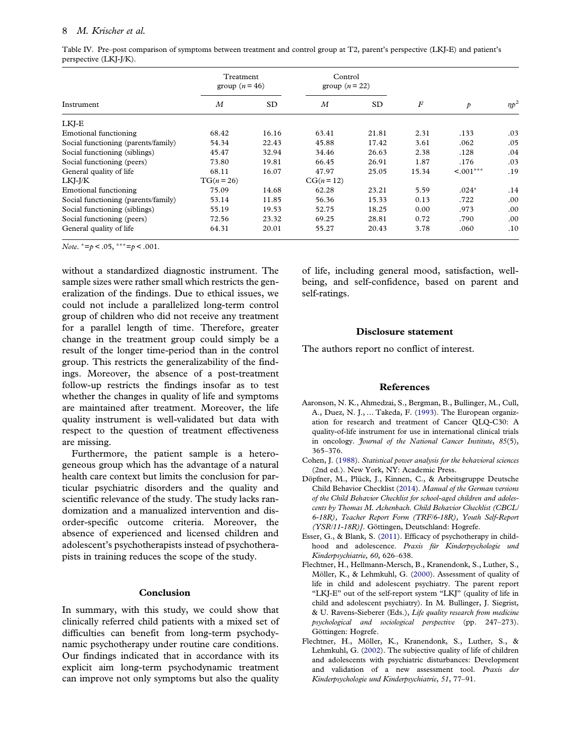### <span id="page-8-0"></span>8 M. Krischer et al.

Table IV. Pre–post comparison of symptoms between treatment and control group at T2, parent's perspective (LKJ-E) and patient's perspective (LKJ-J/K).

|                                     | Treatment<br>group $(n=46)$ |           | Control<br>group $(n=22)$ |           |       |                |         |
|-------------------------------------|-----------------------------|-----------|---------------------------|-----------|-------|----------------|---------|
| Instrument                          | M                           | <b>SD</b> | M                         | <b>SD</b> | F     | $\mathcal{P}$  | $n p^2$ |
| LKJ-E                               |                             |           |                           |           |       |                |         |
| Emotional functioning               | 68.42                       | 16.16     | 63.41                     | 21.81     | 2.31  | .133           | .03     |
| Social functioning (parents/family) | 54.34                       | 22.43     | 45.88                     | 17.42     | 3.61  | .062           | .05     |
| Social functioning (siblings)       | 45.47                       | 32.94     | 34.46                     | 26.63     | 2.38  | .128           | .04     |
| Social functioning (peers)          | 73.80                       | 19.81     | 66.45                     | 26.91     | 1.87  | .176           | .03     |
| General quality of life             | 68.11                       | 16.07     | 47.97                     | 25.05     | 15.34 | $\leq 0.01***$ | .19     |
| LKI-J/K                             | $TG(n = 26)$                |           | $CG(n = 12)$              |           |       |                |         |
| Emotional functioning               | 75.09                       | 14.68     | 62.28                     | 23.21     | 5.59  | $.024*$        | .14     |
| Social functioning (parents/family) | 53.14                       | 11.85     | 56.36                     | 15.33     | 0.13  | .722           | .00     |
| Social functioning (siblings)       | 55.19                       | 19.53     | 52.75                     | 18.25     | 0.00  | .973           | .00     |
| Social functioning (peers)          | 72.56                       | 23.32     | 69.25                     | 28.81     | 0.72  | .790           | .00     |
| General quality of life             | 64.31                       | 20.01     | 55.27                     | 20.43     | 3.78  | .060           | .10     |

Note.  $* = p < .05$ ,  $** = p < .001$ .

without a standardized diagnostic instrument. The sample sizes were rather small which restricts the generalization of the findings. Due to ethical issues, we could not include a parallelized long-term control group of children who did not receive any treatment for a parallel length of time. Therefore, greater change in the treatment group could simply be a result of the longer time-period than in the control group. This restricts the generalizability of the findings. Moreover, the absence of a post-treatment follow-up restricts the findings insofar as to test whether the changes in quality of life and symptoms are maintained after treatment. Moreover, the life quality instrument is well-validated but data with respect to the question of treatment effectiveness are missing.

Furthermore, the patient sample is a heterogeneous group which has the advantage of a natural health care context but limits the conclusion for particular psychiatric disorders and the quality and scientific relevance of the study. The study lacks randomization and a manualized intervention and disorder-specific outcome criteria. Moreover, the absence of experienced and licensed children and adolescent's psychotherapists instead of psychotherapists in training reduces the scope of the study.

### Conclusion

In summary, with this study, we could show that clinically referred child patients with a mixed set of difficulties can benefit from long-term psychodynamic psychotherapy under routine care conditions. Our findings indicated that in accordance with its explicit aim long-term psychodynamic treatment can improve not only symptoms but also the quality of life, including general mood, satisfaction, wellbeing, and self-confidence, based on parent and self-ratings.

### Disclosure statement

The authors report no conflict of interest.

### References

- Aaronson, N. K., Ahmedzai, S., Bergman, B., Bullinger, M., Cull, A., Duez, N. J., … Takeda, F. ([1993](#page-4-0)). The European organization for research and treatment of Cancer QLQ-C30: A quality-of-life instrument for use in international clinical trials in oncology. Journal of the National Cancer Institute, 85(5), 365–376.
- Cohen, J. ([1988](#page-5-0)). Statistical power analysis for the behavioral sciences (2nd ed.). New York, NY: Academic Press.
- Döpfner, M., Plück, J., Kinnen, C., & Arbeitsgruppe Deutsche Child Behavior Checklist ([2014\)](#page-4-0). Manual of the German versions of the Child Behavior Checklist for school-aged children and adolescents by Thomas M. Achenbach. Child Behavior Checklist (CBCL/ 6-18R), Teacher Report Form (TRF/6-18R), Youth Self-Report (YSR/11-18R)]. Göttingen, Deutschland: Hogrefe.
- Esser, G., & Blank, S. [\(2011\)](#page-1-0). Efficacy of psychotherapy in childhood and adolescence. Praxis für Kinderpsychologie und Kinderpsychiatrie, 60, 626–638.
- Flechtner, H., Hellmann-Mersch, B., Kranendonk, S., Luther, S., Möller, K., & Lehmkuhl, G. ([2000\)](#page-4-0). Assessment of quality of life in child and adolescent psychiatry. The parent report "LKJ-E" out of the self-report system "LKJ" (quality of life in child and adolescent psychiatry). In M. Bullinger, J. Siegrist, & U. Ravens-Sieberer (Eds.), Life quality research from medicine psychological and sociological perspective (pp. 247–273). Göttingen: Hogrefe.
- Flechtner, H., Möller, K., Kranendonk, S., Luther, S., & Lehmkuhl, G. ([2002](#page-4-0)). The subjective quality of life of children and adolescents with psychiatric disturbances: Development and validation of a new assessment tool. Praxis der Kinderpsychologie und Kinderpsychiatrie, 51, 77–91.